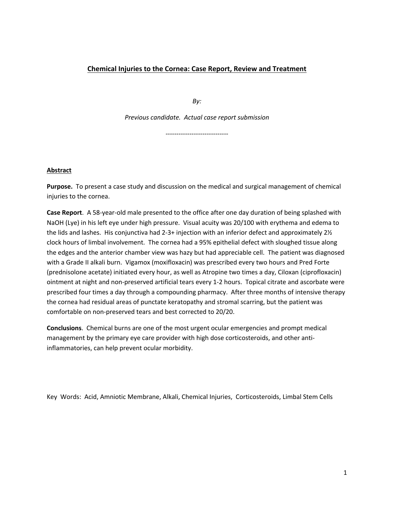# **Chemical Injuries to the Cornea: Case Report, Review and Treatment**

*By:* 

*Previous candidate. Actual case report submission*

*-----------------------------*

### **Abstract**

**Purpose.** To present a case study and discussion on the medical and surgical management of chemical injuries to the cornea.

**Case Report**. A 58-year-old male presented to the office after one day duration of being splashed with NaOH (Lye) in his left eye under high pressure. Visual acuity was 20/100 with erythema and edema to the lids and lashes. His conjunctiva had 2-3+ injection with an inferior defect and approximately 2½ clock hours of limbal involvement. The cornea had a 95% epithelial defect with sloughed tissue along the edges and the anterior chamber view was hazy but had appreciable cell. The patient was diagnosed with a Grade II alkali burn. Vigamox (moxifloxacin) was prescribed every two hours and Pred Forte (prednisolone acetate) initiated every hour, as well as Atropine two times a day, Ciloxan (ciprofloxacin) ointment at night and non-preserved artificial tears every 1-2 hours. Topical citrate and ascorbate were prescribed four times a day through a compounding pharmacy. After three months of intensive therapy the cornea had residual areas of punctate keratopathy and stromal scarring, but the patient was comfortable on non-preserved tears and best corrected to 20/20.

**Conclusions**. Chemical burns are one of the most urgent ocular emergencies and prompt medical management by the primary eye care provider with high dose corticosteroids, and other antiinflammatories, can help prevent ocular morbidity.

Key Words: Acid, Amniotic Membrane, Alkali, Chemical Injuries, Corticosteroids, Limbal Stem Cells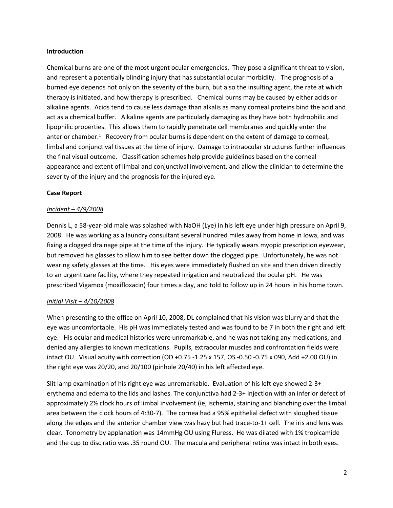## **Introduction**

Chemical burns are one of the most urgent ocular emergencies. They pose a significant threat to vision, and represent a potentially blinding injury that has substantial ocular morbidity. The prognosis of a burned eye depends not only on the severity of the burn, but also the insulting agent, the rate at which therapy is initiated, and how therapy is prescribed. Chemical burns may be caused by either acids or alkaline agents. Acids tend to cause less damage than alkalis as many corneal proteins bind the acid and act as a chemical buffer. Alkaline agents are particularly damaging as they have both hydrophilic and lipophilic properties. This allows them to rapidly penetrate cell membranes and quickly enter the anterior chamber. $1$  Recovery from ocular burns is dependent on the extent of damage to corneal, limbal and conjunctival tissues at the time of injury. Damage to intraocular structures further influences the final visual outcome. Classification schemes help provide guidelines based on the corneal appearance and extent of limbal and conjunctival involvement, and allow the clinician to determine the severity of the injury and the prognosis for the injured eye.

## **Case Report**

## *Incident – 4/9/2008*

Dennis L, a 58-year-old male was splashed with NaOH (Lye) in his left eye under high pressure on April 9, 2008. He was working as a laundry consultant several hundred miles away from home in Iowa, and was fixing a clogged drainage pipe at the time of the injury. He typically wears myopic prescription eyewear, but removed his glasses to allow him to see better down the clogged pipe. Unfortunately, he was not wearing safety glasses at the time. His eyes were immediately flushed on site and then driven directly to an urgent care facility, where they repeated irrigation and neutralized the ocular pH. He was prescribed Vigamox (moxifloxacin) four times a day, and told to follow up in 24 hours in his home town.

# *Initial Visit – 4/10/2008*

When presenting to the office on April 10, 2008, DL complained that his vision was blurry and that the eye was uncomfortable. His pH was immediately tested and was found to be 7 in both the right and left eye. His ocular and medical histories were unremarkable, and he was not taking any medications, and denied any allergies to known medications. Pupils, extraocular muscles and confrontation fields were intact OU. Visual acuity with correction (OD +0.75 -1.25 x 157, OS -0.50 -0.75 x 090, Add +2.00 OU) in the right eye was 20/20, and 20/100 (pinhole 20/40) in his left affected eye.

Slit lamp examination of his right eye was unremarkable. Evaluation of his left eye showed 2-3+ erythema and edema to the lids and lashes. The conjunctiva had 2-3+ injection with an inferior defect of approximately 2½ clock hours of limbal involvement (ie, ischemia, staining and blanching over the limbal area between the clock hours of 4:30-7). The cornea had a 95% epithelial defect with sloughed tissue along the edges and the anterior chamber view was hazy but had trace-to-1+ cell. The iris and lens was clear. Tonometry by applanation was 14mmHg OU using Fluress. He was dilated with 1% tropicamide and the cup to disc ratio was .35 round OU. The macula and peripheral retina was intact in both eyes.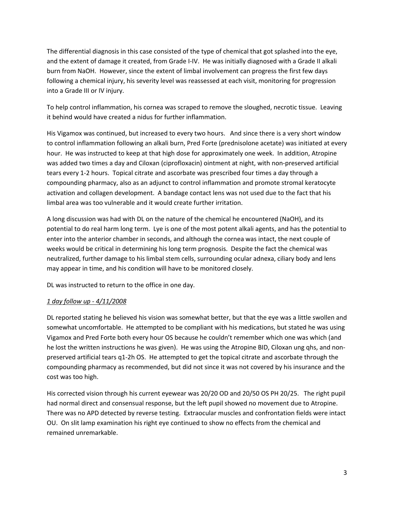The differential diagnosis in this case consisted of the type of chemical that got splashed into the eye, and the extent of damage it created, from Grade I-IV. He was initially diagnosed with a Grade II alkali burn from NaOH. However, since the extent of limbal involvement can progress the first few days following a chemical injury, his severity level was reassessed at each visit, monitoring for progression into a Grade III or IV injury.

To help control inflammation, his cornea was scraped to remove the sloughed, necrotic tissue. Leaving it behind would have created a nidus for further inflammation.

His Vigamox was continued, but increased to every two hours. And since there is a very short window to control inflammation following an alkali burn, Pred Forte (prednisolone acetate) was initiated at every hour. He was instructed to keep at that high dose for approximately one week. In addition, Atropine was added two times a day and Ciloxan (ciprofloxacin) ointment at night, with non-preserved artificial tears every 1-2 hours. Topical citrate and ascorbate was prescribed four times a day through a compounding pharmacy, also as an adjunct to control inflammation and promote stromal keratocyte activation and collagen development. A bandage contact lens was not used due to the fact that his limbal area was too vulnerable and it would create further irritation.

A long discussion was had with DL on the nature of the chemical he encountered (NaOH), and its potential to do real harm long term. Lye is one of the most potent alkali agents, and has the potential to enter into the anterior chamber in seconds, and although the cornea was intact, the next couple of weeks would be critical in determining his long term prognosis. Despite the fact the chemical was neutralized, further damage to his limbal stem cells, surrounding ocular adnexa, ciliary body and lens may appear in time, and his condition will have to be monitored closely.

DL was instructed to return to the office in one day.

# *1 day follow up - 4/11/2008*

DL reported stating he believed his vision was somewhat better, but that the eye was a little swollen and somewhat uncomfortable. He attempted to be compliant with his medications, but stated he was using Vigamox and Pred Forte both every hour OS because he couldn't remember which one was which (and he lost the written instructions he was given). He was using the Atropine BID, Ciloxan ung qhs, and nonpreserved artificial tears q1-2h OS. He attempted to get the topical citrate and ascorbate through the compounding pharmacy as recommended, but did not since it was not covered by his insurance and the cost was too high.

His corrected vision through his current eyewear was 20/20 OD and 20/50 OS PH 20/25. The right pupil had normal direct and consensual response, but the left pupil showed no movement due to Atropine. There was no APD detected by reverse testing. Extraocular muscles and confrontation fields were intact OU. On slit lamp examination his right eye continued to show no effects from the chemical and remained unremarkable.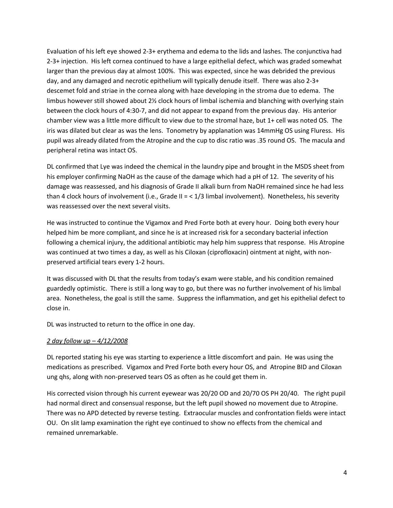Evaluation of his left eye showed 2-3+ erythema and edema to the lids and lashes. The conjunctiva had 2-3+ injection. His left cornea continued to have a large epithelial defect, which was graded somewhat larger than the previous day at almost 100%. This was expected, since he was debrided the previous day, and any damaged and necrotic epithelium will typically denude itself. There was also 2-3+ descemet fold and striae in the cornea along with haze developing in the stroma due to edema. The limbus however still showed about 2% clock hours of limbal ischemia and blanching with overlying stain between the clock hours of 4:30-7, and did not appear to expand from the previous day. His anterior chamber view was a little more difficult to view due to the stromal haze, but 1+ cell was noted OS. The iris was dilated but clear as was the lens. Tonometry by applanation was 14mmHg OS using Fluress. His pupil was already dilated from the Atropine and the cup to disc ratio was .35 round OS. The macula and peripheral retina was intact OS.

DL confirmed that Lye was indeed the chemical in the laundry pipe and brought in the MSDS sheet from his employer confirming NaOH as the cause of the damage which had a pH of 12. The severity of his damage was reassessed, and his diagnosis of Grade II alkali burn from NaOH remained since he had less than 4 clock hours of involvement (i.e., Grade II = < 1/3 limbal involvement). Nonetheless, his severity was reassessed over the next several visits.

He was instructed to continue the Vigamox and Pred Forte both at every hour. Doing both every hour helped him be more compliant, and since he is at increased risk for a secondary bacterial infection following a chemical injury, the additional antibiotic may help him suppress that response. His Atropine was continued at two times a day, as well as his Ciloxan (ciprofloxacin) ointment at night, with nonpreserved artificial tears every 1-2 hours.

It was discussed with DL that the results from today's exam were stable, and his condition remained guardedly optimistic. There is still a long way to go, but there was no further involvement of his limbal area. Nonetheless, the goal is still the same. Suppress the inflammation, and get his epithelial defect to close in.

DL was instructed to return to the office in one day.

### *2 day follow up – 4/12/2008*

DL reported stating his eye was starting to experience a little discomfort and pain. He was using the medications as prescribed. Vigamox and Pred Forte both every hour OS, and Atropine BID and Ciloxan ung qhs, along with non-preserved tears OS as often as he could get them in.

His corrected vision through his current eyewear was 20/20 OD and 20/70 OS PH 20/40. The right pupil had normal direct and consensual response, but the left pupil showed no movement due to Atropine. There was no APD detected by reverse testing. Extraocular muscles and confrontation fields were intact OU. On slit lamp examination the right eye continued to show no effects from the chemical and remained unremarkable.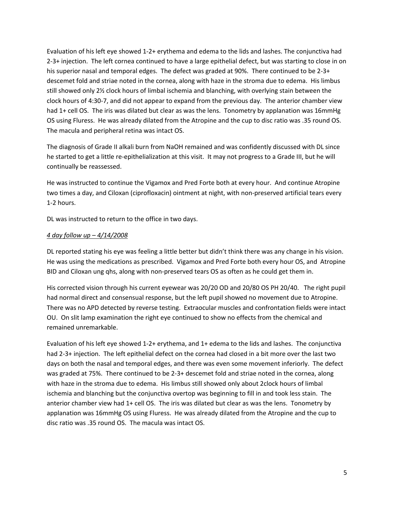Evaluation of his left eye showed 1-2+ erythema and edema to the lids and lashes. The conjunctiva had 2-3+ injection. The left cornea continued to have a large epithelial defect, but was starting to close in on his superior nasal and temporal edges. The defect was graded at 90%. There continued to be 2-3+ descemet fold and striae noted in the cornea, along with haze in the stroma due to edema. His limbus still showed only 2½ clock hours of limbal ischemia and blanching, with overlying stain between the clock hours of 4:30-7, and did not appear to expand from the previous day. The anterior chamber view had 1+ cell OS. The iris was dilated but clear as was the lens. Tonometry by applanation was 16mmHg OS using Fluress. He was already dilated from the Atropine and the cup to disc ratio was .35 round OS. The macula and peripheral retina was intact OS.

The diagnosis of Grade II alkali burn from NaOH remained and was confidently discussed with DL since he started to get a little re-epithelialization at this visit. It may not progress to a Grade III, but he will continually be reassessed.

He was instructed to continue the Vigamox and Pred Forte both at every hour. And continue Atropine two times a day, and Ciloxan (ciprofloxacin) ointment at night, with non-preserved artificial tears every 1-2 hours.

DL was instructed to return to the office in two days.

## *4 day follow up – 4/14/2008*

DL reported stating his eye was feeling a little better but didn't think there was any change in his vision. He was using the medications as prescribed. Vigamox and Pred Forte both every hour OS, and Atropine BID and Ciloxan ung qhs, along with non-preserved tears OS as often as he could get them in.

His corrected vision through his current eyewear was 20/20 OD and 20/80 OS PH 20/40. The right pupil had normal direct and consensual response, but the left pupil showed no movement due to Atropine. There was no APD detected by reverse testing. Extraocular muscles and confrontation fields were intact OU. On slit lamp examination the right eye continued to show no effects from the chemical and remained unremarkable.

Evaluation of his left eye showed 1-2+ erythema, and 1+ edema to the lids and lashes. The conjunctiva had 2-3+ injection. The left epithelial defect on the cornea had closed in a bit more over the last two days on both the nasal and temporal edges, and there was even some movement inferiorly. The defect was graded at 75%. There continued to be 2-3+ descemet fold and striae noted in the cornea, along with haze in the stroma due to edema. His limbus still showed only about 2clock hours of limbal ischemia and blanching but the conjunctiva overtop was beginning to fill in and took less stain. The anterior chamber view had 1+ cell OS. The iris was dilated but clear as was the lens. Tonometry by applanation was 16mmHg OS using Fluress. He was already dilated from the Atropine and the cup to disc ratio was .35 round OS. The macula was intact OS.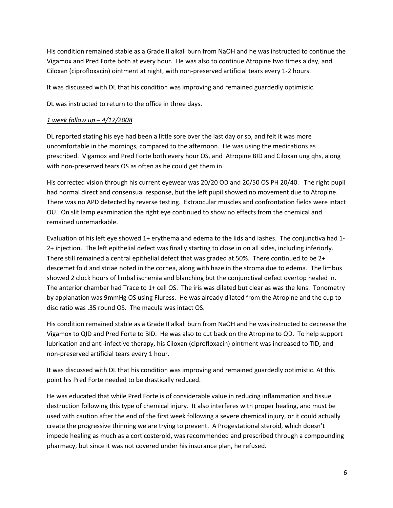His condition remained stable as a Grade II alkali burn from NaOH and he was instructed to continue the Vigamox and Pred Forte both at every hour. He was also to continue Atropine two times a day, and Ciloxan (ciprofloxacin) ointment at night, with non-preserved artificial tears every 1-2 hours.

It was discussed with DL that his condition was improving and remained guardedly optimistic.

DL was instructed to return to the office in three days.

## *1 week follow up – 4/17/2008*

DL reported stating his eye had been a little sore over the last day or so, and felt it was more uncomfortable in the mornings, compared to the afternoon. He was using the medications as prescribed. Vigamox and Pred Forte both every hour OS, and Atropine BID and Ciloxan ung qhs, along with non-preserved tears OS as often as he could get them in.

His corrected vision through his current eyewear was 20/20 OD and 20/50 OS PH 20/40. The right pupil had normal direct and consensual response, but the left pupil showed no movement due to Atropine. There was no APD detected by reverse testing. Extraocular muscles and confrontation fields were intact OU. On slit lamp examination the right eye continued to show no effects from the chemical and remained unremarkable.

Evaluation of his left eye showed 1+ erythema and edema to the lids and lashes. The conjunctiva had 1- 2+ injection. The left epithelial defect was finally starting to close in on all sides, including inferiorly. There still remained a central epithelial defect that was graded at 50%. There continued to be 2+ descemet fold and striae noted in the cornea, along with haze in the stroma due to edema. The limbus showed 2 clock hours of limbal ischemia and blanching but the conjunctival defect overtop healed in. The anterior chamber had Trace to 1+ cell OS. The iris was dilated but clear as was the lens. Tonometry by applanation was 9mmHg OS using Fluress. He was already dilated from the Atropine and the cup to disc ratio was .35 round OS. The macula was intact OS.

His condition remained stable as a Grade II alkali burn from NaOH and he was instructed to decrease the Vigamox to QID and Pred Forte to BID. He was also to cut back on the Atropine to QD. To help support lubrication and anti-infective therapy, his Ciloxan (ciprofloxacin) ointment was increased to TID, and non-preserved artificial tears every 1 hour.

It was discussed with DL that his condition was improving and remained guardedly optimistic. At this point his Pred Forte needed to be drastically reduced.

He was educated that while Pred Forte is of considerable value in reducing inflammation and tissue destruction following this type of chemical injury. It also interferes with proper healing, and must be used with caution after the end of the first week following a severe chemical injury, or it could actually create the progressive thinning we are trying to prevent. A Progestational steroid, which doesn't impede healing as much as a corticosteroid, was recommended and prescribed through a compounding pharmacy, but since it was not covered under his insurance plan, he refused.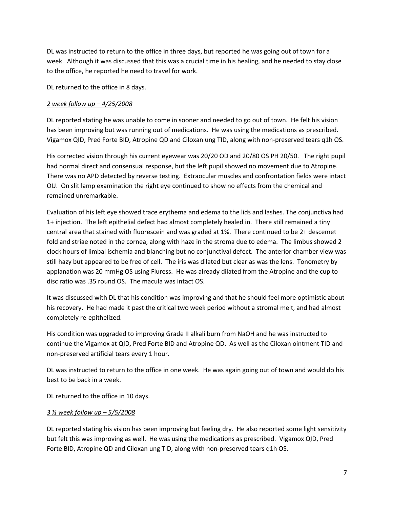DL was instructed to return to the office in three days, but reported he was going out of town for a week. Although it was discussed that this was a crucial time in his healing, and he needed to stay close to the office, he reported he need to travel for work.

DL returned to the office in 8 days.

### *2 week follow up – 4/25/2008*

DL reported stating he was unable to come in sooner and needed to go out of town. He felt his vision has been improving but was running out of medications. He was using the medications as prescribed. Vigamox QID, Pred Forte BID, Atropine QD and Ciloxan ung TID, along with non-preserved tears q1h OS.

His corrected vision through his current eyewear was 20/20 OD and 20/80 OS PH 20/50. The right pupil had normal direct and consensual response, but the left pupil showed no movement due to Atropine. There was no APD detected by reverse testing. Extraocular muscles and confrontation fields were intact OU. On slit lamp examination the right eye continued to show no effects from the chemical and remained unremarkable.

Evaluation of his left eye showed trace erythema and edema to the lids and lashes. The conjunctiva had 1+ injection. The left epithelial defect had almost completely healed in. There still remained a tiny central area that stained with fluorescein and was graded at 1%. There continued to be 2+ descemet fold and striae noted in the cornea, along with haze in the stroma due to edema. The limbus showed 2 clock hours of limbal ischemia and blanching but no conjunctival defect. The anterior chamber view was still hazy but appeared to be free of cell. The iris was dilated but clear as was the lens. Tonometry by applanation was 20 mmHg OS using Fluress. He was already dilated from the Atropine and the cup to disc ratio was .35 round OS. The macula was intact OS.

It was discussed with DL that his condition was improving and that he should feel more optimistic about his recovery. He had made it past the critical two week period without a stromal melt, and had almost completely re-epithelized.

His condition was upgraded to improving Grade II alkali burn from NaOH and he was instructed to continue the Vigamox at QID, Pred Forte BID and Atropine QD. As well as the Ciloxan ointment TID and non-preserved artificial tears every 1 hour.

DL was instructed to return to the office in one week. He was again going out of town and would do his best to be back in a week.

DL returned to the office in 10 days.

# *3 ½ week follow up – 5/5/2008*

DL reported stating his vision has been improving but feeling dry. He also reported some light sensitivity but felt this was improving as well. He was using the medications as prescribed. Vigamox QID, Pred Forte BID, Atropine QD and Ciloxan ung TID, along with non-preserved tears q1h OS.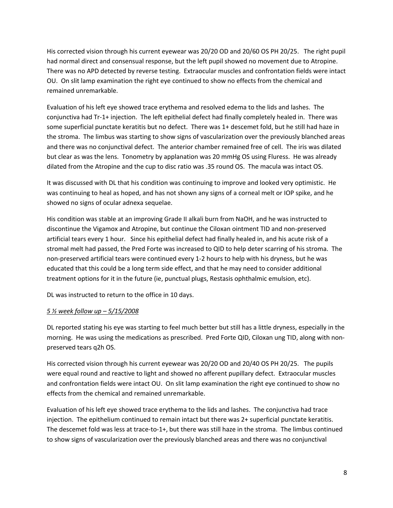His corrected vision through his current eyewear was 20/20 OD and 20/60 OS PH 20/25. The right pupil had normal direct and consensual response, but the left pupil showed no movement due to Atropine. There was no APD detected by reverse testing. Extraocular muscles and confrontation fields were intact OU. On slit lamp examination the right eye continued to show no effects from the chemical and remained unremarkable.

Evaluation of his left eye showed trace erythema and resolved edema to the lids and lashes. The conjunctiva had Tr-1+ injection. The left epithelial defect had finally completely healed in. There was some superficial punctate keratitis but no defect. There was 1+ descemet fold, but he still had haze in the stroma. The limbus was starting to show signs of vascularization over the previously blanched areas and there was no conjunctival defect. The anterior chamber remained free of cell. The iris was dilated but clear as was the lens. Tonometry by applanation was 20 mmHg OS using Fluress. He was already dilated from the Atropine and the cup to disc ratio was .35 round OS. The macula was intact OS.

It was discussed with DL that his condition was continuing to improve and looked very optimistic. He was continuing to heal as hoped, and has not shown any signs of a corneal melt or IOP spike, and he showed no signs of ocular adnexa sequelae.

His condition was stable at an improving Grade II alkali burn from NaOH, and he was instructed to discontinue the Vigamox and Atropine, but continue the Ciloxan ointment TID and non-preserved artificial tears every 1 hour. Since his epithelial defect had finally healed in, and his acute risk of a stromal melt had passed, the Pred Forte was increased to QID to help deter scarring of his stroma. The non-preserved artificial tears were continued every 1-2 hours to help with his dryness, but he was educated that this could be a long term side effect, and that he may need to consider additional treatment options for it in the future (ie, punctual plugs, Restasis ophthalmic emulsion, etc).

DL was instructed to return to the office in 10 days.

# *5 ½ week follow up – 5/15/2008*

DL reported stating his eye was starting to feel much better but still has a little dryness, especially in the morning. He was using the medications as prescribed. Pred Forte QID, Ciloxan ung TID, along with nonpreserved tears q2h OS.

His corrected vision through his current eyewear was 20/20 OD and 20/40 OS PH 20/25. The pupils were equal round and reactive to light and showed no afferent pupillary defect. Extraocular muscles and confrontation fields were intact OU. On slit lamp examination the right eye continued to show no effects from the chemical and remained unremarkable.

Evaluation of his left eye showed trace erythema to the lids and lashes. The conjunctiva had trace injection. The epithelium continued to remain intact but there was 2+ superficial punctate keratitis. The descemet fold was less at trace-to-1+, but there was still haze in the stroma. The limbus continued to show signs of vascularization over the previously blanched areas and there was no conjunctival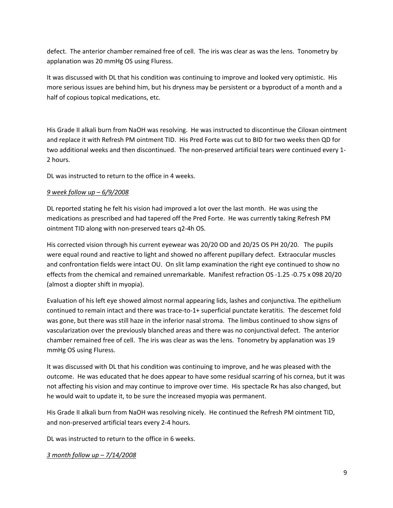defect. The anterior chamber remained free of cell. The iris was clear as was the lens. Tonometry by applanation was 20 mmHg OS using Fluress.

It was discussed with DL that his condition was continuing to improve and looked very optimistic. His more serious issues are behind him, but his dryness may be persistent or a byproduct of a month and a half of copious topical medications, etc.

His Grade II alkali burn from NaOH was resolving. He was instructed to discontinue the Ciloxan ointment and replace it with Refresh PM ointment TID. His Pred Forte was cut to BID for two weeks then QD for two additional weeks and then discontinued. The non-preserved artificial tears were continued every 1- 2 hours.

DL was instructed to return to the office in 4 weeks.

## *9 week follow up – 6/9/2008*

DL reported stating he felt his vision had improved a lot over the last month. He was using the medications as prescribed and had tapered off the Pred Forte. He was currently taking Refresh PM ointment TID along with non-preserved tears q2-4h OS.

His corrected vision through his current eyewear was 20/20 OD and 20/25 OS PH 20/20. The pupils were equal round and reactive to light and showed no afferent pupillary defect. Extraocular muscles and confrontation fields were intact OU. On slit lamp examination the right eye continued to show no effects from the chemical and remained unremarkable. Manifest refraction OS -1.25 -0.75 x 098 20/20 (almost a diopter shift in myopia).

Evaluation of his left eye showed almost normal appearing lids, lashes and conjunctiva. The epithelium continued to remain intact and there was trace-to-1+ superficial punctate keratitis. The descemet fold was gone, but there was still haze in the inferior nasal stroma. The limbus continued to show signs of vascularization over the previously blanched areas and there was no conjunctival defect. The anterior chamber remained free of cell. The iris was clear as was the lens. Tonometry by applanation was 19 mmHg OS using Fluress.

It was discussed with DL that his condition was continuing to improve, and he was pleased with the outcome. He was educated that he does appear to have some residual scarring of his cornea, but it was not affecting his vision and may continue to improve over time. His spectacle Rx has also changed, but he would wait to update it, to be sure the increased myopia was permanent.

His Grade II alkali burn from NaOH was resolving nicely. He continued the Refresh PM ointment TID, and non-preserved artificial tears every 2-4 hours.

DL was instructed to return to the office in 6 weeks.

*3 month follow up – 7/14/2008*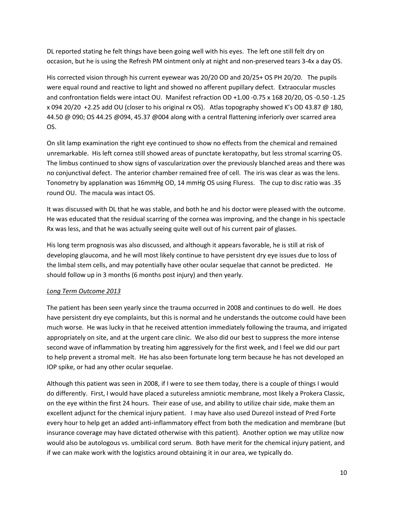DL reported stating he felt things have been going well with his eyes. The left one still felt dry on occasion, but he is using the Refresh PM ointment only at night and non-preserved tears 3-4x a day OS.

His corrected vision through his current eyewear was 20/20 OD and 20/25+ OS PH 20/20. The pupils were equal round and reactive to light and showed no afferent pupillary defect. Extraocular muscles and confrontation fields were intact OU. Manifest refraction OD +1.00 -0.75 x 168 20/20, OS -0.50 -1.25 x 094 20/20 +2.25 add OU (closer to his original rx OS). Atlas topography showed K's OD 43.87 @ 180, 44.50 @ 090; OS 44.25 @094, 45.37 @004 along with a central flattening inferiorly over scarred area OS.

On slit lamp examination the right eye continued to show no effects from the chemical and remained unremarkable. His left cornea still showed areas of punctate keratopathy, but less stromal scarring OS. The limbus continued to show signs of vascularization over the previously blanched areas and there was no conjunctival defect. The anterior chamber remained free of cell. The iris was clear as was the lens. Tonometry by applanation was 16mmHg OD, 14 mmHg OS using Fluress. The cup to disc ratio was .35 round OU. The macula was intact OS.

It was discussed with DL that he was stable, and both he and his doctor were pleased with the outcome. He was educated that the residual scarring of the cornea was improving, and the change in his spectacle Rx was less, and that he was actually seeing quite well out of his current pair of glasses.

His long term prognosis was also discussed, and although it appears favorable, he is still at risk of developing glaucoma, and he will most likely continue to have persistent dry eye issues due to loss of the limbal stem cells, and may potentially have other ocular sequelae that cannot be predicted. He should follow up in 3 months (6 months post injury) and then yearly.

# *Long Term Outcome 2013*

The patient has been seen yearly since the trauma occurred in 2008 and continues to do well. He does have persistent dry eye complaints, but this is normal and he understands the outcome could have been much worse. He was lucky in that he received attention immediately following the trauma, and irrigated appropriately on site, and at the urgent care clinic. We also did our best to suppress the more intense second wave of inflammation by treating him aggressively for the first week, and I feel we did our part to help prevent a stromal melt. He has also been fortunate long term because he has not developed an IOP spike, or had any other ocular sequelae.

Although this patient was seen in 2008, if I were to see them today, there is a couple of things I would do differently. First, I would have placed a sutureless amniotic membrane, most likely a Prokera Classic, on the eye within the first 24 hours. Their ease of use, and ability to utilize chair side, make them an excellent adjunct for the chemical injury patient. I may have also used Durezol instead of Pred Forte every hour to help get an added anti-inflammatory effect from both the medication and membrane (but insurance coverage may have dictated otherwise with this patient). Another option we may utilize now would also be autologous vs. umbilical cord serum. Both have merit for the chemical injury patient, and if we can make work with the logistics around obtaining it in our area, we typically do.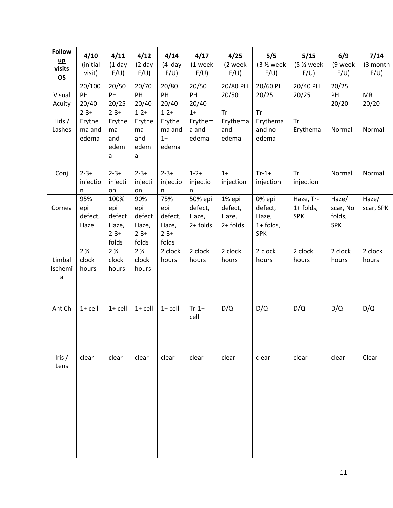| <b>Follow</b><br>$\mathbf{u} \mathbf{p}$<br>visits<br><b>OS</b> | 4/10<br>(initial<br>visit)             | 4/11<br>$(1$ day<br>F/U)                             | 4/12<br>$(2)$ day<br>F/U)                           | 4/14<br>$(4$ day<br>F/U)                             | 4/17<br>(1 week<br>F/U)                    | 4/25<br>(2 week<br>F/U                 | 5/5<br>$(3 \frac{1}{2} week)$<br>F/U)                 | 5/15<br>(5 % week<br>F/U)              | 6/9<br>(9 week<br>F/U                     | 7/14<br>(3 month<br>F/U |
|-----------------------------------------------------------------|----------------------------------------|------------------------------------------------------|-----------------------------------------------------|------------------------------------------------------|--------------------------------------------|----------------------------------------|-------------------------------------------------------|----------------------------------------|-------------------------------------------|-------------------------|
| Visual<br>Acuity                                                | 20/100<br>PH<br>20/40                  | 20/50<br>PH<br>20/25                                 | 20/70<br>PH<br>20/40                                | 20/80<br>PH<br>20/40                                 | 20/50<br>PH<br>20/40                       | 20/80 PH<br>20/50                      | 20/60 PH<br>20/25                                     | 20/40 PH<br>20/25                      | 20/25<br>PH<br>20/20                      | <b>MR</b><br>20/20      |
| Lids $/$<br>Lashes                                              | $2 - 3 +$<br>Erythe<br>ma and<br>edema | $2 - 3 +$<br>Erythe<br>ma<br>and<br>edem<br>a        | $1 - 2 +$<br>Erythe<br>ma<br>and<br>edem<br>a       | $1 - 2 +$<br>Erythe<br>ma and<br>$1+$<br>edema       | $1+$<br>Erythem<br>a and<br>edema          | <b>Tr</b><br>Erythema<br>and<br>edema  | <b>Tr</b><br>Erythema<br>and no<br>edema              | <b>Tr</b><br>Erythema                  | Normal                                    | Normal                  |
| Conj                                                            | $2 - 3 +$<br>injectio<br>n             | $2 - 3 +$<br>injecti<br>on                           | $2 - 3 +$<br>injecti<br>on                          | $2 - 3 +$<br>injectio<br>n                           | $1 - 2 +$<br>injectio<br>n                 | $1+$<br>injection                      | $Tr-1+$<br>injection                                  | <b>Tr</b><br>injection                 | Normal                                    | Normal                  |
| Cornea                                                          | 95%<br>epi<br>defect,<br>Haze          | 100%<br>epi<br>defect<br>Haze,<br>$2 - 3 +$<br>folds | 90%<br>epi<br>defect<br>Haze,<br>$2 - 3 +$<br>folds | 75%<br>epi<br>defect,<br>Haze,<br>$2 - 3 +$<br>folds | 50% epi<br>defect,<br>Haze,<br>$2 +$ folds | 1% epi<br>defect,<br>Haze,<br>2+ folds | 0% epi<br>defect,<br>Haze,<br>1+ folds,<br><b>SPK</b> | Haze, Tr-<br>$1+$ folds,<br><b>SPK</b> | Haze/<br>scar, No<br>folds,<br><b>SPK</b> | Haze/<br>scar, SPK      |
| Limbal<br>Ischemi<br>a                                          | 2 <sub>2</sub><br>clock<br>hours       | 2 <sub>2</sub><br>clock<br>hours                     | 2 <sub>2</sub><br>clock<br>hours                    | 2 clock<br>hours                                     | 2 clock<br>hours                           | 2 clock<br>hours                       | 2 clock<br>hours                                      | 2 clock<br>hours                       | 2 clock<br>hours                          | 2 clock<br>hours        |
| Ant Ch                                                          | $1 +$ cell                             | $1 +$ cell                                           | $1+$ cell                                           | $1+$ cell                                            | $Tr-1+$<br>cell                            | D/Q                                    | D/Q                                                   | D/Q                                    | D/Q                                       | D/Q                     |
| Iris $/$<br>Lens                                                | clear                                  | clear                                                | clear                                               | clear                                                | clear                                      | clear                                  | clear                                                 | clear                                  | clear                                     | Clear                   |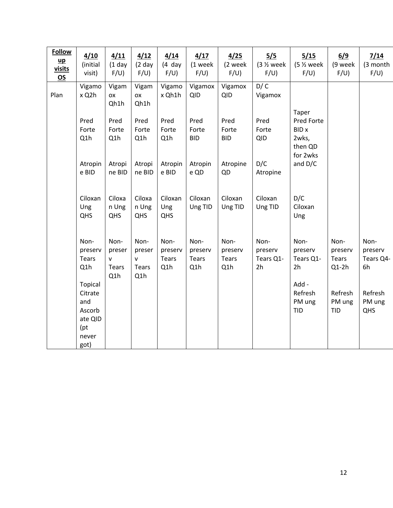| <b>Follow</b><br>$\mathbf{u} \mathbf{p}$<br>visits<br><b>OS</b> | 4/10<br>(initial<br>visit)                                             | 4/11<br>$(1$ day<br>F/U                               | 4/12<br>$(2)$ day<br>F/U                                    | 4/14<br>$(4$ day<br>F/U)               | 4/17<br>(1 week<br>F/U)         | 4/25<br>(2 week<br>F/U)                      | 5/5<br>$(3 \frac{1}{2} week)$<br>F/U) | 5/15<br>$(5 \frac{1}{2} week)$<br>F/U)                     | 6/9<br>(9 week<br>F/U                      | 7/14<br>(3 month<br>F/U)           |
|-----------------------------------------------------------------|------------------------------------------------------------------------|-------------------------------------------------------|-------------------------------------------------------------|----------------------------------------|---------------------------------|----------------------------------------------|---------------------------------------|------------------------------------------------------------|--------------------------------------------|------------------------------------|
| Plan                                                            | Vigamo<br>x Q2h                                                        | Vigam<br><b>OX</b><br>Qh1h                            | Vigam<br><b>OX</b><br>Qh1h                                  | Vigamo<br>x Qh1h                       | Vigamox<br><b>QID</b>           | Vigamox<br><b>QID</b>                        | D/C<br>Vigamox                        | Taper                                                      |                                            |                                    |
|                                                                 | Pred<br>Forte<br>Q1h                                                   | Pred<br>Forte<br>Q1h                                  | Pred<br>Forte<br>Q1h                                        | Pred<br>Forte<br>Q1h                   | Pred<br>Forte<br><b>BID</b>     | Pred<br>Forte<br><b>BID</b>                  | Pred<br>Forte<br><b>QID</b>           | Pred Forte<br><b>BID</b> x<br>2wks,<br>then QD<br>for 2wks |                                            |                                    |
|                                                                 | Atropin<br>e BID                                                       | Atropi<br>ne BID                                      | Atropi<br>ne BID                                            | Atropin<br>e BID                       | Atropin<br>e QD                 | Atropine<br>QD                               | D/C<br>Atropine                       | and D/C                                                    |                                            |                                    |
|                                                                 | Ciloxan<br>Ung<br>QHS                                                  | Ciloxa<br>n Ung<br>QHS                                | Ciloxa<br>n Ung<br>QHS                                      | Ciloxan<br>Ung<br>QHS                  | Ciloxan<br>Ung TID              | Ciloxan<br>Ung TID                           | Ciloxan<br>Ung TID                    | D/C<br>Ciloxan<br>Ung                                      |                                            |                                    |
|                                                                 | Non-<br>preserv<br><b>Tears</b><br>Q1h                                 | Non-<br>preser<br>$\mathsf{v}$<br><b>Tears</b><br>Q1h | Non-<br>preser<br>$\mathsf{v}$<br>Tears<br>Q <sub>1</sub> h | Non-<br>preserv<br><b>Tears</b><br>Q1h | Non-<br>preserv<br>Tears<br>Q1h | Non-<br>preserv<br>Tears<br>Q <sub>1</sub> h | Non-<br>preserv<br>Tears Q1-<br>2h    | Non-<br>preserv<br>Tears Q1-<br>2 <sub>h</sub>             | Non-<br>preserv<br><b>Tears</b><br>$Q1-2h$ | Non-<br>preserv<br>Tears Q4-<br>6h |
|                                                                 | Topical<br>Citrate<br>and<br>Ascorb<br>ate QID<br>(pt<br>never<br>got) |                                                       |                                                             |                                        |                                 |                                              |                                       | Add -<br>Refresh<br>PM ung<br><b>TID</b>                   | Refresh<br>PM ung<br><b>TID</b>            | Refresh<br>PM ung<br>QHS           |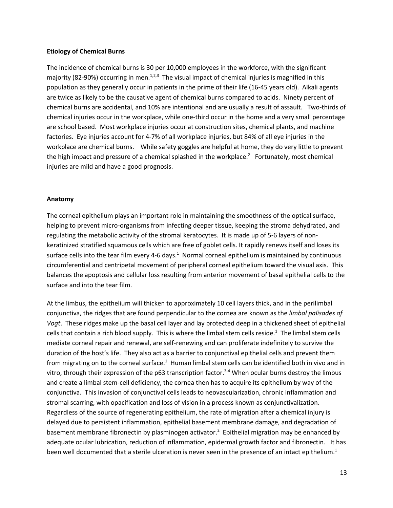#### **Etiology of Chemical Burns**

The incidence of chemical burns is 30 per 10,000 employees in the workforce, with the significant majority (82-90%) occurring in men.<sup>1,2,3</sup> The visual impact of chemical injuries is magnified in this population as they generally occur in patients in the prime of their life (16-45 years old). Alkali agents are twice as likely to be the causative agent of chemical burns compared to acids. Ninety percent of chemical burns are accidental, and 10% are intentional and are usually a result of assault. Two-thirds of chemical injuries occur in the workplace, while one-third occur in the home and a very small percentage are school based. Most workplace injuries occur at construction sites, chemical plants, and machine factories. Eye injuries account for 4-7% of all workplace injuries, but 84% of all eye injuries in the workplace are chemical burns. While safety goggles are helpful at home, they do very little to prevent the high impact and pressure of a chemical splashed in the workplace.<sup>2</sup> Fortunately, most chemical injuries are mild and have a good prognosis.

#### **Anatomy**

The corneal epithelium plays an important role in maintaining the smoothness of the optical surface, helping to prevent micro-organisms from infecting deeper tissue, keeping the stroma dehydrated, and regulating the metabolic activity of the stromal keratocytes. It is made up of 5-6 layers of nonkeratinized stratified squamous cells which are free of goblet cells. It rapidly renews itself and loses its surface cells into the tear film every 4-6 days.<sup>1</sup> Normal corneal epithelium is maintained by continuous circumferential and centripetal movement of peripheral corneal epithelium toward the visual axis. This balances the apoptosis and cellular loss resulting from anterior movement of basal epithelial cells to the surface and into the tear film.

At the limbus, the epithelium will thicken to approximately 10 cell layers thick, and in the perilimbal conjunctiva, the ridges that are found perpendicular to the cornea are known as the *limbal palisades of Vogt*. These ridges make up the basal cell layer and lay protected deep in a thickened sheet of epithelial cells that contain a rich blood supply. This is where the limbal stem cells reside.<sup>1</sup> The limbal stem cells mediate corneal repair and renewal, are self-renewing and can proliferate indefinitely to survive the duration of the host's life. They also act as a barrier to conjunctival epithelial cells and prevent them from migrating on to the corneal surface.<sup>1</sup> Human limbal stem cells can be identified both in vivo and in vitro, through their expression of the p63 transcription factor.<sup>3-4</sup> When ocular burns destroy the limbus and create a limbal stem-cell deficiency, the cornea then has to acquire its epithelium by way of the conjunctiva. This invasion of conjunctival cells leads to neovascularization, chronic inflammation and stromal scarring, with opacification and loss of vision in a process known as conjunctivalization. Regardless of the source of regenerating epithelium, the rate of migration after a chemical injury is delayed due to persistent inflammation, epithelial basement membrane damage, and degradation of basement membrane fibronectin by plasminogen activator.<sup>2</sup> Epithelial migration may be enhanced by adequate ocular lubrication, reduction of inflammation, epidermal growth factor and fibronectin. It has been well documented that a sterile ulceration is never seen in the presence of an intact epithelium.<sup>1</sup>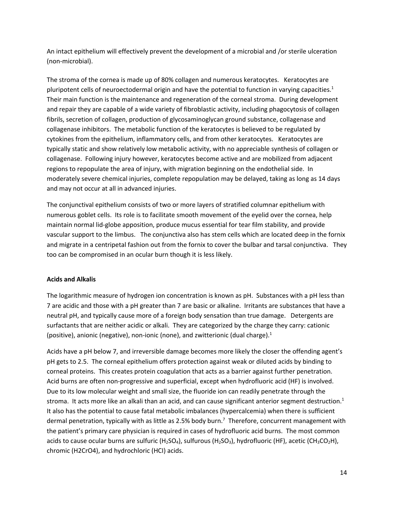An intact epithelium will effectively prevent the development of a microbial and /or sterile ulceration (non-microbial).

The stroma of the cornea is made up of 80% collagen and numerous keratocytes. Keratocytes are pluripotent cells of neuroectodermal origin and have the potential to function in varying capacities.<sup>1</sup> Their main function is the maintenance and regeneration of the corneal stroma. During development and repair they are capable of a wide variety of fibroblastic activity, including phagocytosis of collagen fibrils, secretion of collagen, production of glycosaminoglycan ground substance, collagenase and collagenase inhibitors. The metabolic function of the keratocytes is believed to be regulated by cytokines from the epithelium, inflammatory cells, and from other keratocytes. Keratocytes are typically static and show relatively low metabolic activity, with no appreciable synthesis of collagen or collagenase. Following injury however, keratocytes become active and are mobilized from adjacent regions to repopulate the area of injury, with migration beginning on the endothelial side. In moderately severe chemical injuries, complete repopulation may be delayed, taking as long as 14 days and may not occur at all in advanced injuries.

The conjunctival epithelium consists of two or more layers of stratified columnar epithelium with numerous goblet cells. Its role is to facilitate smooth movement of the eyelid over the cornea, help maintain normal lid-globe apposition, produce mucus essential for tear film stability, and provide vascular support to the limbus. The conjunctiva also has stem cells which are located deep in the fornix and migrate in a centripetal fashion out from the fornix to cover the bulbar and tarsal conjunctiva. They too can be compromised in an ocular burn though it is less likely.

# **Acids and Alkalis**

The logarithmic measure of hydrogen ion concentration is known as pH. Substances with a pH less than 7 are acidic and those with a pH greater than 7 are basic or alkaline. Irritants are substances that have a neutral pH, and typically cause more of a foreign body sensation than true damage. Detergents are surfactants that are neither acidic or alkali. They are categorized by the charge they carry: cationic (positive), anionic (negative), non-ionic (none), and zwitterionic (dual charge).<sup>1</sup>

Acids have a pH below 7, and irreversible damage becomes more likely the closer the offending agent's pH gets to 2.5. The corneal epithelium offers protection against weak or diluted acids by binding to corneal proteins. This creates protein coagulation that acts as a barrier against further penetration. Acid burns are often non-progressive and superficial, except when hydrofluoric acid (HF) is involved. Due to its low molecular weight and small size, the fluoride ion can readily penetrate through the stroma. It acts more like an alkali than an acid, and can cause significant anterior segment destruction.<sup>1</sup> It also has the potential to cause fatal metabolic imbalances (hypercalcemia) when there is sufficient dermal penetration, typically with as little as 2.5% body burn.<sup>7</sup> Therefore, concurrent management with the patient's primary care physician is required in cases of hydrofluoric acid burns. The most common acids to cause ocular burns are sulfuric (H<sub>2</sub>SO<sub>4</sub>), sulfurous (H<sub>2</sub>SO<sub>3</sub>), hydrofluoric (HF), acetic (CH<sub>3</sub>CO<sub>2</sub>H), chromic (H2CrO4), and hydrochloric (HCI) acids.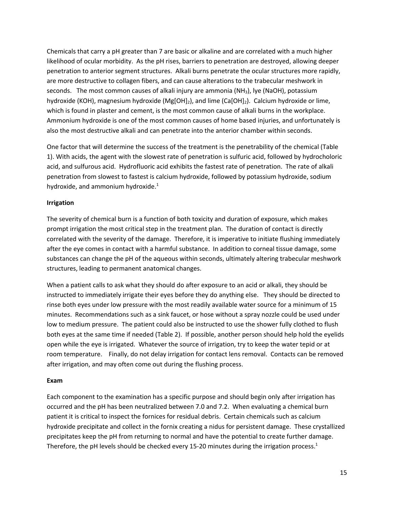Chemicals that carry a pH greater than 7 are basic or alkaline and are correlated with a much higher likelihood of ocular morbidity. As the pH rises, barriers to penetration are destroyed, allowing deeper penetration to anterior segment structures. Alkali burns penetrate the ocular structures more rapidly, are more destructive to collagen fibers, and can cause alterations to the trabecular meshwork in seconds. The most common causes of alkali injury are ammonia (NH<sub>3</sub>), lye (NaOH), potassium hydroxide (KOH), magnesium hydroxide (Mg[OH]<sub>2</sub>), and lime (Ca[OH]<sub>2</sub>). Calcium hydroxide or lime, which is found in plaster and cement, is the most common cause of alkali burns in the workplace. Ammonium hydroxide is one of the most common causes of home based injuries, and unfortunately is also the most destructive alkali and can penetrate into the anterior chamber within seconds.

One factor that will determine the success of the treatment is the penetrability of the chemical (Table 1). With acids, the agent with the slowest rate of penetration is sulfuric acid, followed by hydrocholoric acid, and sulfurous acid. Hydrofluoric acid exhibits the fastest rate of penetration. The rate of alkali penetration from slowest to fastest is calcium hydroxide, followed by potassium hydroxide, sodium hydroxide, and ammonium hydroxide.<sup>1</sup>

### **Irrigation**

The severity of chemical burn is a function of both toxicity and duration of exposure, which makes prompt irrigation the most critical step in the treatment plan. The duration of contact is directly correlated with the severity of the damage. Therefore, it is imperative to initiate flushing immediately after the eye comes in contact with a harmful substance. In addition to corneal tissue damage, some substances can change the pH of the aqueous within seconds, ultimately altering trabecular meshwork structures, leading to permanent anatomical changes.

When a patient calls to ask what they should do after exposure to an acid or alkali, they should be instructed to immediately irrigate their eyes before they do anything else. They should be directed to rinse both eyes under low pressure with the most readily available water source for a minimum of 15 minutes. Recommendations such as a sink faucet, or hose without a spray nozzle could be used under low to medium pressure. The patient could also be instructed to use the shower fully clothed to flush both eyes at the same time if needed (Table 2). If possible, another person should help hold the eyelids open while the eye is irrigated. Whatever the source of irrigation, try to keep the water tepid or at room temperature. Finally, do not delay irrigation for contact lens removal. Contacts can be removed after irrigation, and may often come out during the flushing process.

### **Exam**

Each component to the examination has a specific purpose and should begin only after irrigation has occurred and the pH has been neutralized between 7.0 and 7.2. When evaluating a chemical burn patient it is critical to inspect the fornices for residual debris. Certain chemicals such as calcium hydroxide precipitate and collect in the fornix creating a nidus for persistent damage. These crystallized precipitates keep the pH from returning to normal and have the potential to create further damage. Therefore, the pH levels should be checked every 15-20 minutes during the irrigation process.<sup>1</sup>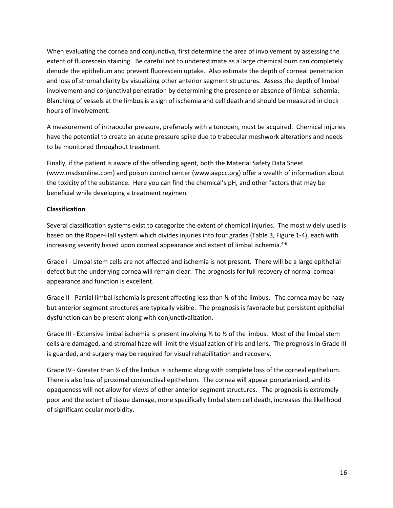When evaluating the cornea and conjunctiva, first determine the area of involvement by assessing the extent of fluorescein staining. Be careful not to underestimate as a large chemical burn can completely denude the epithelium and prevent fluorescein uptake. Also estimate the depth of corneal penetration and loss of stromal clarity by visualizing other anterior segment structures. Assess the depth of limbal involvement and conjunctival penetration by determining the presence or absence of limbal ischemia. Blanching of vessels at the limbus is a sign of ischemia and cell death and should be measured in clock hours of involvement.

A measurement of intraocular pressure, preferably with a tonopen, must be acquired. Chemical injuries have the potential to create an acute pressure spike due to trabecular meshwork alterations and needs to be monitored throughout treatment.

Finally, if the patient is aware of the offending agent, both the Material Safety Data Sheet (www.msdsonline.com) and poison control center (www.aapcc.org) offer a wealth of information about the toxicity of the substance. Here you can find the chemical's pH, and other factors that may be beneficial while developing a treatment regimen.

## **Classification**

Several classification systems exist to categorize the extent of chemical injuries. The most widely used is based on the Roper-Hall system which divides injuries into four grades (Table 3, Figure 1-4), each with increasing severity based upon corneal appearance and extent of limbal ischemia. $4-6$ 

Grade I - Limbal stem cells are not affected and ischemia is not present. There will be a large epithelial defect but the underlying cornea will remain clear. The prognosis for full recovery of normal corneal appearance and function is excellent.

Grade II - Partial limbal ischemia is present affecting less than ⅓ of the limbus. The cornea may be hazy but anterior segment structures are typically visible. The prognosis is favorable but persistent epithelial dysfunction can be present along with conjunctivalization.

Grade III - Extensive limbal ischemia is present involving ⅓ to ½ of the limbus. Most of the limbal stem cells are damaged, and stromal haze will limit the visualization of iris and lens. The prognosis in Grade III is guarded, and surgery may be required for visual rehabilitation and recovery.

Grade IV - Greater than  $\frac{1}{2}$  of the limbus is ischemic along with complete loss of the corneal epithelium. There is also loss of proximal conjunctival epithelium. The cornea will appear porcelainized, and its opaqueness will not allow for views of other anterior segment structures. The prognosis is extremely poor and the extent of tissue damage, more specifically limbal stem cell death, increases the likelihood of significant ocular morbidity.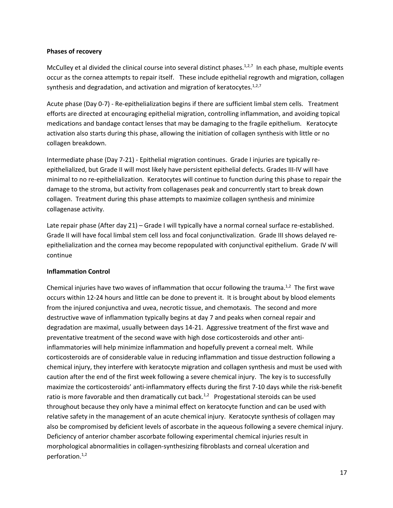### **Phases of recovery**

McCulley et al divided the clinical course into several distinct phases. $1,2,7$  In each phase, multiple events occur as the cornea attempts to repair itself. These include epithelial regrowth and migration, collagen synthesis and degradation, and activation and migration of keratocytes. $1,2,7$ 

Acute phase (Day 0-7) - Re-epithelialization begins if there are sufficient limbal stem cells. Treatment efforts are directed at encouraging epithelial migration, controlling inflammation, and avoiding topical medications and bandage contact lenses that may be damaging to the fragile epithelium. Keratocyte activation also starts during this phase, allowing the initiation of collagen synthesis with little or no collagen breakdown.

Intermediate phase (Day 7-21) - Epithelial migration continues. Grade I injuries are typically reepithelialized, but Grade II will most likely have persistent epithelial defects. Grades III-IV will have minimal to no re-epithelialization. Keratocytes will continue to function during this phase to repair the damage to the stroma, but activity from collagenases peak and concurrently start to break down collagen. Treatment during this phase attempts to maximize collagen synthesis and minimize collagenase activity.

Late repair phase (After day 21) – Grade I will typically have a normal corneal surface re-established. Grade II will have focal limbal stem cell loss and focal conjunctivalization. Grade III shows delayed reepithelialization and the cornea may become repopulated with conjunctival epithelium. Grade IV will continue

### **Inflammation Control**

Chemical injuries have two waves of inflammation that occur following the trauma.<sup>1,2</sup> The first wave occurs within 12-24 hours and little can be done to prevent it. It is brought about by blood elements from the injured conjunctiva and uvea, necrotic tissue, and chemotaxis. The second and more destructive wave of inflammation typically begins at day 7 and peaks when corneal repair and degradation are maximal, usually between days 14-21. Aggressive treatment of the first wave and preventative treatment of the second wave with high dose corticosteroids and other antiinflammatories will help minimize inflammation and hopefully prevent a corneal melt. While corticosteroids are of considerable value in reducing inflammation and tissue destruction following a chemical injury, they interfere with keratocyte migration and collagen synthesis and must be used with caution after the end of the first week following a severe chemical injury. The key is to successfully maximize the corticosteroids' anti-inflammatory effects during the first 7-10 days while the risk-benefit ratio is more favorable and then dramatically cut back.<sup>1,2</sup> Progestational steroids can be used throughout because they only have a minimal effect on keratocyte function and can be used with relative safety in the management of an acute chemical injury. Keratocyte synthesis of collagen may also be compromised by deficient levels of ascorbate in the aqueous following a severe chemical injury. Deficiency of anterior chamber ascorbate following experimental chemical injuries result in morphological abnormalities in collagen-synthesizing fibroblasts and corneal ulceration and perforation.1,2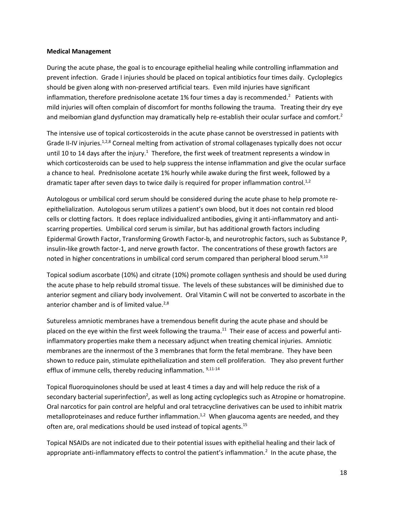#### **Medical Management**

During the acute phase, the goal is to encourage epithelial healing while controlling inflammation and prevent infection. Grade I injuries should be placed on topical antibiotics four times daily. Cycloplegics should be given along with non-preserved artificial tears. Even mild injuries have significant inflammation, therefore prednisolone acetate 1% four times a day is recommended.<sup>2</sup> Patients with mild injuries will often complain of discomfort for months following the trauma. Treating their dry eye and meibomian gland dysfunction may dramatically help re-establish their ocular surface and comfort.<sup>2</sup>

The intensive use of topical corticosteroids in the acute phase cannot be overstressed in patients with Grade II-IV injuries.<sup>1,2,8</sup> Corneal melting from activation of stromal collagenases typically does not occur until 10 to 14 days after the injury.<sup>1</sup> Therefore, the first week of treatment represents a window in which corticosteroids can be used to help suppress the intense inflammation and give the ocular surface a chance to heal. Prednisolone acetate 1% hourly while awake during the first week, followed by a dramatic taper after seven days to twice daily is required for proper inflammation control.<sup>1,2</sup>

Autologous or umbilical cord serum should be considered during the acute phase to help promote reepithelialization. Autologous serum utilizes a patient's own blood, but it does not contain red blood cells or clotting factors. It does replace individualized antibodies, giving it anti-inflammatory and antiscarring properties. Umbilical cord serum is similar, but has additional growth factors including Epidermal Growth Factor, Transforming Growth Factor-b, and neurotrophic factors, such as Substance P, insulin-like growth factor-1, and nerve growth factor. The concentrations of these growth factors are noted in higher concentrations in umbilical cord serum compared than peripheral blood serum.<sup>9,10</sup>

Topical sodium ascorbate (10%) and citrate (10%) promote collagen synthesis and should be used during the acute phase to help rebuild stromal tissue. The levels of these substances will be diminished due to anterior segment and ciliary body involvement. Oral Vitamin C will not be converted to ascorbate in the anterior chamber and is of limited value.<sup>2,8</sup>

Sutureless amniotic membranes have a tremendous benefit during the acute phase and should be placed on the eye within the first week following the trauma.<sup>11</sup> Their ease of access and powerful antiinflammatory properties make them a necessary adjunct when treating chemical injuries. Amniotic membranes are the innermost of the 3 membranes that form the fetal membrane. They have been shown to reduce pain, stimulate epithelialization and stem cell proliferation. They also prevent further efflux of immune cells, thereby reducing inflammation. 9,11-14

Topical fluoroquinolones should be used at least 4 times a day and will help reduce the risk of a secondary bacterial superinfection<sup>2</sup>, as well as long acting cycloplegics such as Atropine or homatropine. Oral narcotics for pain control are helpful and oral tetracycline derivatives can be used to inhibit matrix metalloproteinases and reduce further inflammation.<sup>1,2</sup> When glaucoma agents are needed, and they often are, oral medications should be used instead of topical agents.<sup>15</sup>

Topical NSAIDs are not indicated due to their potential issues with epithelial healing and their lack of appropriate anti-inflammatory effects to control the patient's inflammation.<sup>2</sup> In the acute phase, the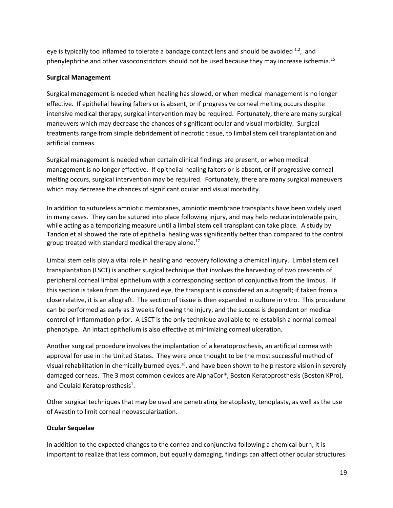eye is typically too inflamed to tolerate a bandage contact lens and should be avoided  $^{1,2}$ , and phenylephrine and other vasoconstrictors should not be used because they may increase ischemia.<sup>15</sup>

## **Surgical Management**

Surgical management is needed when healing has slowed, or when medical management is no longer effective. If epithelial healing falters or is absent, or if progressive corneal melting occurs despite intensive medical therapy, surgical intervention may be required. Fortunately, there are many surgical maneuvers which may decrease the chances of significant ocular and visual morbidity. Surgical treatments range from simple debridement of necrotic tissue, to limbal stem cell transplantation and artificial corneas.

Surgical management is needed when certain clinical findings are present, or when medical management is no longer effective. If epithelial healing falters or is absent, or if progressive corneal melting occurs, surgical intervention may be required. Fortunately, there are many surgical maneuvers which may decrease the chances of significant ocular and visual morbidity.

In addition to sutureless amniotic membranes, amniotic membrane transplants have been widely used in many cases. They can be sutured into place following injury, and may help reduce intolerable pain, while acting as a temporizing measure until a limbal stem cell transplant can take place. A study by Tandon et al showed the rate of epithelial healing was significantly better than compared to the control group treated with standard medical therapy alone. $^{17}$ 

Limbal stem cells play a vital role in healing and recovery following a chemical injury. Limbal stem cell transplantation (LSCT) is another surgical technique that involves the harvesting of two crescents of peripheral corneal limbal epithelium with a corresponding section of conjunctiva from the limbus. If this section is taken from the uninjured eye, the transplant is considered an autograft; if taken from a close relative, it is an allograft. The section of tissue is then expanded in culture in vitro. This procedure can be performed as early as 3 weeks following the injury, and the success is dependent on medical control of inflammation prior. A LSCT is the only technique available to re-establish a normal corneal phenotype. An intact epithelium is also effective at minimizing corneal ulceration.

Another surgical procedure involves the implantation of a keratoprosthesis, an artificial cornea with approval for use in the United States. They were once thought to be the most successful method of visual rehabilitation in chemically burned eyes.<sup>18</sup>, and have been shown to help restore vision in severely damaged corneas. The 3 most common devices are AlphaCor®, Boston Keratoprosthesis (Boston KPro), and Oculaid Keratoprosthesis<sup>1</sup>.

Other surgical techniques that may be used are penetrating keratoplasty, tenoplasty, as well as the use of Avastin to limit corneal neovascularization.

# **Ocular Sequelae**

In addition to the expected changes to the cornea and conjunctiva following a chemical burn, it is important to realize that less common, but equally damaging, findings can affect other ocular structures.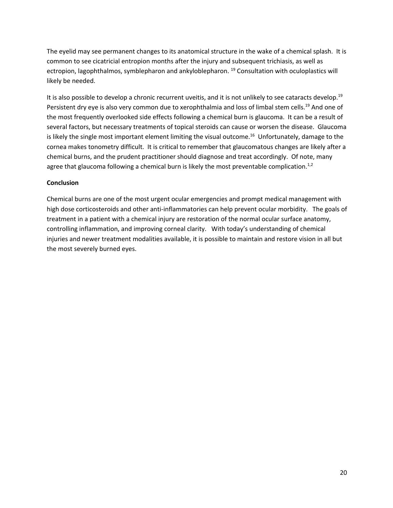The eyelid may see permanent changes to its anatomical structure in the wake of a chemical splash. It is common to see cicatricial entropion months after the injury and subsequent trichiasis, as well as ectropion, lagophthalmos, symblepharon and ankyloblepharon.<sup>19</sup> Consultation with oculoplastics will likely be needed.

It is also possible to develop a chronic recurrent uveitis, and it is not unlikely to see cataracts develop.<sup>19</sup> Persistent dry eye is also very common due to xerophthalmia and loss of limbal stem cells.<sup>19</sup> And one of the most frequently overlooked side effects following a chemical burn is glaucoma. It can be a result of several factors, but necessary treatments of topical steroids can cause or worsen the disease. Glaucoma is likely the single most important element limiting the visual outcome.<sup>16</sup> Unfortunately, damage to the cornea makes tonometry difficult. It is critical to remember that glaucomatous changes are likely after a chemical burns, and the prudent practitioner should diagnose and treat accordingly. Of note, many agree that glaucoma following a chemical burn is likely the most preventable complication.<sup>1,2</sup>

### **Conclusion**

Chemical burns are one of the most urgent ocular emergencies and prompt medical management with high dose corticosteroids and other anti-inflammatories can help prevent ocular morbidity. The goals of treatment in a patient with a chemical injury are restoration of the normal ocular surface anatomy, controlling inflammation, and improving corneal clarity. With today's understanding of chemical injuries and newer treatment modalities available, it is possible to maintain and restore vision in all but the most severely burned eyes.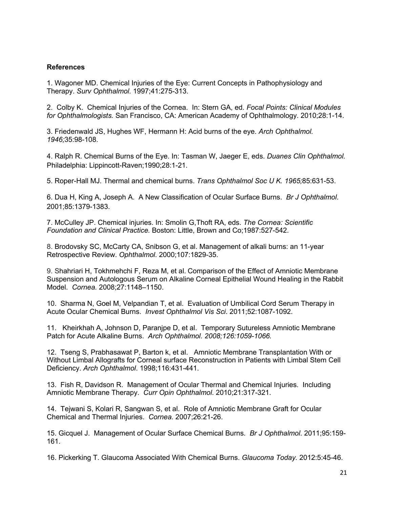## **References**

1. Wagoner MD. Chemical Injuries of the Eye: Current Concepts in Pathophysiology and Therapy. *Surv Ophthalmol.* 1997;41:275-313.

2. Colby K. Chemical Injuries of the Cornea. In: Stern GA, ed. *Focal Points: Clinical Modules for Ophthalmologists.* San Francisco, CA: American Academy of Ophthalmology. 2010;28:1-14.

3. Friedenwald JS, Hughes WF, Hermann H: Acid burns of the eye. *Arch Ophthalmol. 1946;*35:98-108.

4. Ralph R. Chemical Burns of the Eye. In: Tasman W, Jaeger E, eds. *Duanes Clin Ophthalmol.*  Philadelphia: Lippincott-Raven;1990;28:1-21.

5. Roper-Hall MJ. Thermal and chemical burns. *Trans Ophthalmol Soc U K. 1965;*85:631-53.

6. Dua H, King A, Joseph A. A New Classification of Ocular Surface Burns. *Br J Ophthalmol*. 2001;85:1379-1383.

7. McCulley JP. Chemical injuries. In: Smolin G,Thoft RA, eds. *The Cornea: Scientific Foundation and Clinical Practice.* Boston: Little, Brown and Co;1987:527-542.

8. Brodovsky SC, McCarty CA, Snibson G, et al. Management of alkali burns: an 11-year Retrospective Review. *Ophthalmol*. 2000;107:1829-35.

9. Shahriari H, Tokhmehchi F, Reza M, et al. Comparison of the Effect of Amniotic Membrane Suspension and Autologous Serum on Alkaline Corneal Epithelial Wound Healing in the Rabbit Model. *Cornea.* 2008;27:1148–1150.

10. Sharma N, Goel M, Velpandian T, et al. Evaluation of Umbilical Cord Serum Therapy in Acute Ocular Chemical Burns. *Invest Ophthalmol Vis Sci*. 2011;52:1087-1092.

11. Kheirkhah A, Johnson D, Paranjpe D, et al. Temporary Sutureless Amniotic Membrane Patch for Acute Alkaline Burns. *Arch Ophthalmol. 2008;126:1059-1066.*

12. Tseng S, Prabhasawat P, Barton k, et al. Amniotic Membrane Transplantation With or Without Limbal Allografts for Corneal surface Reconstruction in Patients with Limbal Stem Cell Deficiency. *Arch Ophthalmol*. 1998;116:431-441.

13. Fish R, Davidson R. Management of Ocular Thermal and Chemical Injuries. Including Amniotic Membrane Therapy. *Curr Opin Ophthalmol*. 2010;21:317-321.

14. Tejwani S, Kolari R, Sangwan S, et al. Role of Amniotic Membrane Graft for Ocular Chemical and Thermal Injuries. *Cornea.* 2007;26:21-26.

15. Gicquel J. Management of Ocular Surface Chemical Burns. *Br J Ophthalmol*. 2011;95:159- 161.

16. Pickerking T. Glaucoma Associated With Chemical Burns. *Glaucoma Today.* 2012:5:45-46.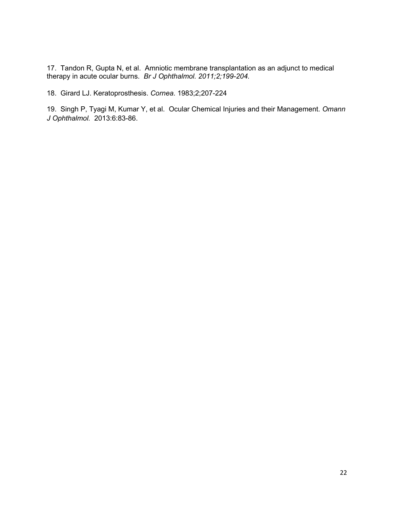17. Tandon R, Gupta N, et al. Amniotic membrane transplantation as an adjunct to medical therapy in acute ocular burns. *Br J Ophthalmol. 2011;2;199-204.*

18. Girard LJ. Keratoprosthesis. *Cornea*. 1983;2;207-224

19. Singh P, Tyagi M, Kumar Y, et al. Ocular Chemical Injuries and their Management. *Omann J Ophthalmol.* 2013:6:83-86.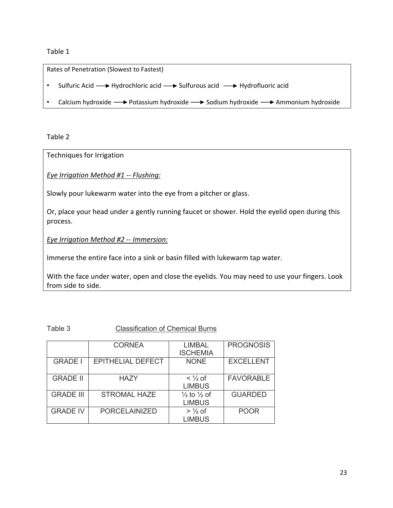# Table 1

Rates of Penetration (Slowest to Fastest)

- Sulfuric Acid  $\longrightarrow$  Hydrochloric acid  $\longrightarrow$  Sulfurous acid  $\longrightarrow$  Hydrofluoric acid
- Calcium hydroxide  $\longrightarrow$  Potassium hydroxide  $\longrightarrow$  Sodium hydroxide  $\longrightarrow$  Ammonium hydroxide

Table 2

Techniques for Irrigation

*Eye Irrigation Method #1 -- Flushing:* 

Slowly pour lukewarm water into the eye from a pitcher or glass.

Or, place your head under a gently running faucet or shower. Hold the eyelid open during this process.

*Eye Irrigation Method #2 -- Immersion:* 

Immerse the entire face into a sink or basin filled with lukewarm tap water.

With the face under water, open and close the eyelids. You may need to use your fingers. Look from side to side.

Table 3 Classification of Chemical Burns

|                  | <b>CORNEA</b>            | <b>LIMBAL</b><br><b>ISCHEMIA</b>                   | <b>PROGNOSIS</b> |
|------------------|--------------------------|----------------------------------------------------|------------------|
| <b>GRADE I</b>   | <b>EPITHELIAL DEFECT</b> | <b>NONE</b>                                        | <b>EXCELLENT</b> |
| <b>GRADE II</b>  | <b>HAZY</b>              | $\lt$ 1/ <sub>3</sub> of<br><b>LIMBUS</b>          | <b>FAVORABLE</b> |
| <b>GRADE III</b> | <b>STROMAL HAZE</b>      | $\frac{1}{3}$ to $\frac{1}{2}$ of<br><b>LIMBUS</b> | <b>GUARDED</b>   |
| <b>GRADE IV</b>  | <b>PORCELAINIZED</b>     | $>$ 1/2 of<br><b>LIMBUS</b>                        | <b>POOR</b>      |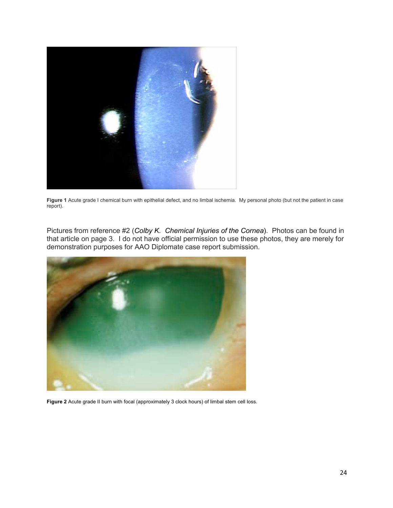

**Figure 1** Acute grade I chemical burn with epithelial defect, and no limbal ischemia. My personal photo (but not the patient in case report).

Pictures from reference #2 (*Colby K. Chemical Injuries of the Cornea*). Photos can be found in that article on page 3. I do not have official permission to use these photos, they are merely for demonstration purposes for AAO Diplomate case report submission.



**Figure 2** Acute grade II burn with focal (approximately 3 clock hours) of limbal stem cell loss.